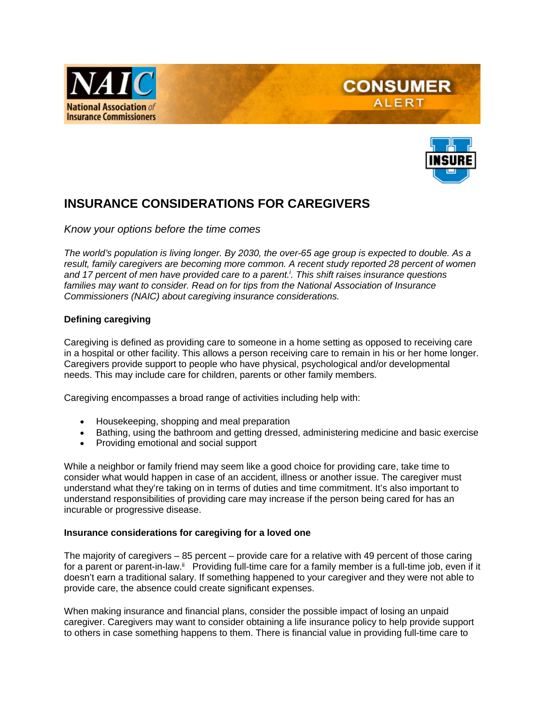



**CONSUMER ALERT** 

# **INSURANCE CONSIDERATIONS FOR CAREGIVERS**

*Know your options before the time comes*

*The world's population is living longer. By 2030, the over-65 age group is expected to double. As a*  result, family caregivers are becoming more common. A recent study reported 28 percent of women *and 17 percent of men have provided care to a parent.i . This shift raises insurance questions families may want to consider. Read on for tips from the National Association of Insurance Commissioners (NAIC) about caregiving insurance considerations.* 

### **Defining caregiving**

Caregiving is defined as providing care to someone in a home setting as opposed to receiving care in a hospital or other facility. This allows a person receiving care to remain in his or her home longer. Caregivers provide support to people who have physical, psychological and/or developmental needs. This may include care for children, parents or other family members.

Caregiving encompasses a broad range of activities including help with:

- Housekeeping, shopping and meal preparation
- Bathing, using the bathroom and getting dressed, administering medicine and basic exercise
- Providing emotional and social support

While a neighbor or family friend may seem like a good choice for providing care, take time to consider what would happen in case of an accident, illness or another issue. The caregiver must understand what they're taking on in terms of duties and time commitment. It's also important to understand responsibilities of providing care may increase if the person being cared for has an incurable or progressive disease.

#### **Insurance considerations for caregiving for a loved one**

The majority of caregivers – 85 percent – provide care for a relative with 49 percent of those caring for a parent or parent-in-law.<sup>ii</sup> Providing full-time care for a family member is a full-time job, even if it doesn't earn a traditional salary. If something happened to your caregiver and they were not able to provide care, the absence could create significant expenses.

When making insurance and financial plans, consider the possible impact of losing an unpaid caregiver. Caregivers may want to consider obtaining a life insurance policy to help provide support to others in case something happens to them. There is financial value in providing full-time care to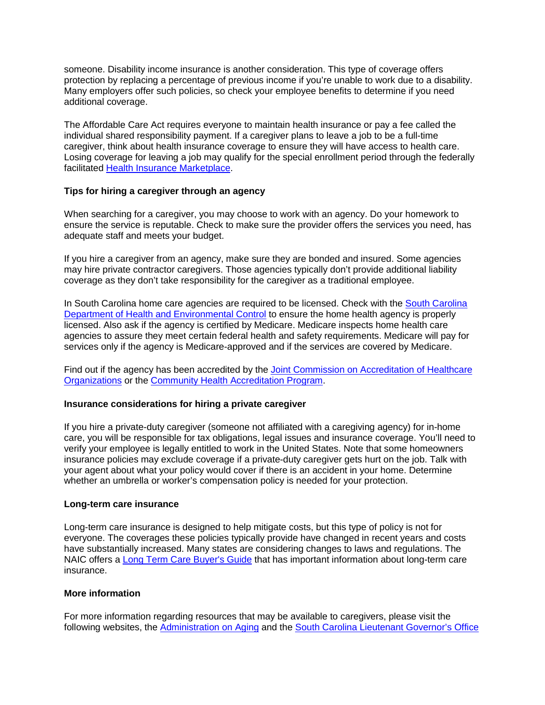someone. Disability income insurance is another consideration. This type of coverage offers protection by replacing a percentage of previous income if you're unable to work due to a disability. Many employers offer such policies, so check your employee benefits to determine if you need additional coverage.

The Affordable Care Act requires everyone to maintain health insurance or pay a fee called the individual shared responsibility payment. If a caregiver plans to leave a job to be a full-time caregiver, think about health insurance coverage to ensure they will have access to health care. Losing coverage for leaving a job may qualify for the special enrollment period through the federally facilitated [Health Insurance Marketplace.](https://www.healthcare.gov/coverage/preventive-care-benefits/)

## **Tips for hiring a caregiver through an agency**

When searching for a caregiver, you may choose to work with an agency. Do your homework to ensure the service is reputable. Check to make sure the provider offers the services you need, has adequate staff and meets your budget.

If you hire a caregiver from an agency, make sure they are bonded and insured. Some agencies may hire private contractor caregivers. Those agencies typically don't provide additional liability coverage as they don't take responsibility for the caregiver as a traditional employee.

In [South Carolina](http://www.scdhec.gov/Health/FHPF/HealthFacilityRegulationsLicensing/HealthcareFacilityLicensing/LicensedSCHealthcareFacilitiesLists/) home care agencies are required to be licensed. Check with the South Carolina [Department of Health and Environmental Control](http://www.scdhec.gov/Health/FHPF/HealthFacilityRegulationsLicensing/HealthcareFacilityLicensing/LicensedSCHealthcareFacilitiesLists/) to ensure the home health agency is properly licensed. Also ask if the agency is certified by Medicare. Medicare inspects home health care agencies to assure they meet certain federal health and safety requirements. Medicare will pay for services only if the agency is Medicare-approved and if the services are covered by Medicare.

Find out if the agency has been accredited by the [Joint Commission on Accreditation of Healthcare](http://www.jcaho.org/)  [Organizations](http://www.jcaho.org/) or the [Community Health Accreditation Program.](http://www.chapinc.org/)

### **Insurance considerations for hiring a private caregiver**

If you hire a private-duty caregiver (someone not affiliated with a caregiving agency) for in-home care, you will be responsible for tax obligations, legal issues and insurance coverage. You'll need to verify your employee is legally entitled to work in the United States. Note that some homeowners insurance policies may exclude coverage if a private-duty caregiver gets hurt on the job. Talk with your agent about what your policy would cover if there is an accident in your home. Determine whether an umbrella or worker's compensation policy is needed for your protection.

### **Long-term care insurance**

Long-term care insurance is designed to help mitigate costs, but this type of policy is not for everyone. The coverages these policies typically provide have changed in recent years and costs have substantially increased. Many states are considering changes to laws and regulations. The NAIC offers a [Long Term Care Buyer's Guide](http://www.naic.org/documents/prod_serv_consumer_ltc_lp.pdf) that has important information about long-term care insurance.

### **More information**

For more information regarding resources that may be available to caregivers, please visit the following websites, the [Administration on Aging](http://www.aoa.gov/) and the [South Carolina Lieutenant Governor's Office](http://aging.sc.gov/Pages/default.aspx)